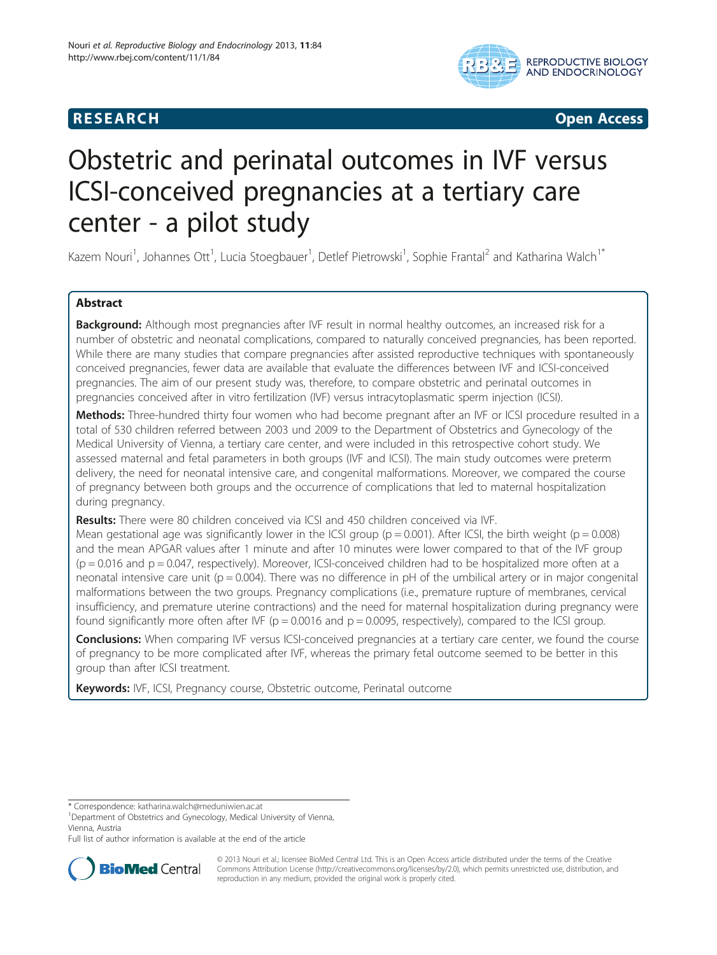# **RESEARCH CHILD CONTROL** CONTROL CONTROL CONTROL CONTROL CONTROL CONTROL CONTROL CONTROL CONTROL CONTROL CONTROL CONTROL CONTROL CONTROL CONTROL CONTROL CONTROL CONTROL CONTROL CONTROL CONTROL CONTROL CONTROL CONTROL CONTR



# Obstetric and perinatal outcomes in IVF versus ICSI-conceived pregnancies at a tertiary care center - a pilot study

Kazem Nouri<sup>1</sup>, Johannes Ott<sup>1</sup>, Lucia Stoegbauer<sup>1</sup>, Detlef Pietrowski<sup>1</sup>, Sophie Frantal<sup>2</sup> and Katharina Walch<sup>1\*</sup>

# Abstract

**Background:** Although most pregnancies after IVF result in normal healthy outcomes, an increased risk for a number of obstetric and neonatal complications, compared to naturally conceived pregnancies, has been reported. While there are many studies that compare pregnancies after assisted reproductive techniques with spontaneously conceived pregnancies, fewer data are available that evaluate the differences between IVF and ICSI-conceived pregnancies. The aim of our present study was, therefore, to compare obstetric and perinatal outcomes in pregnancies conceived after in vitro fertilization (IVF) versus intracytoplasmatic sperm injection (ICSI).

Methods: Three-hundred thirty four women who had become pregnant after an IVF or ICSI procedure resulted in a total of 530 children referred between 2003 und 2009 to the Department of Obstetrics and Gynecology of the Medical University of Vienna, a tertiary care center, and were included in this retrospective cohort study. We assessed maternal and fetal parameters in both groups (IVF and ICSI). The main study outcomes were preterm delivery, the need for neonatal intensive care, and congenital malformations. Moreover, we compared the course of pregnancy between both groups and the occurrence of complications that led to maternal hospitalization during pregnancy.

Results: There were 80 children conceived via ICSI and 450 children conceived via IVF.

Mean gestational age was significantly lower in the ICSI group ( $p = 0.001$ ). After ICSI, the birth weight ( $p = 0.008$ ) and the mean APGAR values after 1 minute and after 10 minutes were lower compared to that of the IVF group  $(p = 0.016$  and  $p = 0.047$ , respectively). Moreover, ICSI-conceived children had to be hospitalized more often at a neonatal intensive care unit ( $p = 0.004$ ). There was no difference in  $pH$  of the umbilical artery or in major congenital malformations between the two groups. Pregnancy complications (i.e., premature rupture of membranes, cervical insufficiency, and premature uterine contractions) and the need for maternal hospitalization during pregnancy were found significantly more often after IVF ( $p = 0.0016$  and  $p = 0.0095$ , respectively), compared to the ICSI group.

Conclusions: When comparing IVF versus ICSI-conceived pregnancies at a tertiary care center, we found the course of pregnancy to be more complicated after IVF, whereas the primary fetal outcome seemed to be better in this group than after ICSI treatment.

Keywords: IVF, ICSI, Pregnancy course, Obstetric outcome, Perinatal outcome

<sup>1</sup>Department of Obstetrics and Gynecology, Medical University of Vienna, Vienna, Austria

Full list of author information is available at the end of the article



© 2013 Nouri et al.; licensee BioMed Central Ltd. This is an Open Access article distributed under the terms of the Creative Commons Attribution License [\(http://creativecommons.org/licenses/by/2.0\)](http://creativecommons.org/licenses/by/2.0), which permits unrestricted use, distribution, and reproduction in any medium, provided the original work is properly cited.

<sup>\*</sup> Correspondence: [katharina.walch@meduniwien.ac.at](mailto:katharina.walch@meduniwien.ac.at) <sup>1</sup>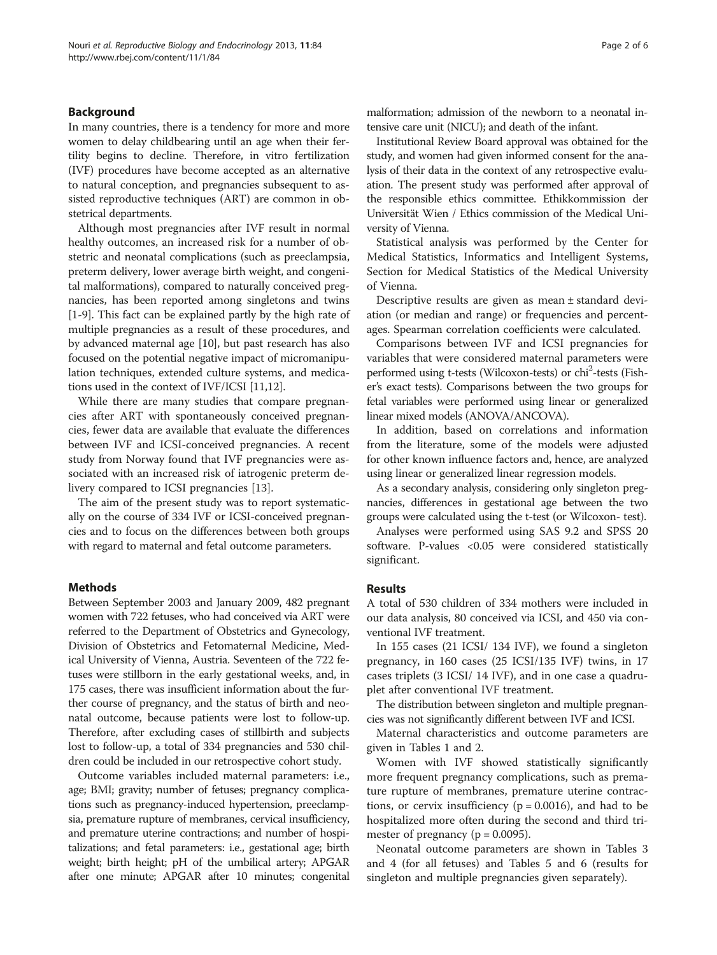# Background

In many countries, there is a tendency for more and more women to delay childbearing until an age when their fertility begins to decline. Therefore, in vitro fertilization (IVF) procedures have become accepted as an alternative to natural conception, and pregnancies subsequent to assisted reproductive techniques (ART) are common in obstetrical departments.

Although most pregnancies after IVF result in normal healthy outcomes, an increased risk for a number of obstetric and neonatal complications (such as preeclampsia, preterm delivery, lower average birth weight, and congenital malformations), compared to naturally conceived pregnancies, has been reported among singletons and twins [[1-9\]](#page-5-0). This fact can be explained partly by the high rate of multiple pregnancies as a result of these procedures, and by advanced maternal age [[10\]](#page-5-0), but past research has also focused on the potential negative impact of micromanipulation techniques, extended culture systems, and medications used in the context of IVF/ICSI [[11,12\]](#page-5-0).

While there are many studies that compare pregnancies after ART with spontaneously conceived pregnancies, fewer data are available that evaluate the differences between IVF and ICSI-conceived pregnancies. A recent study from Norway found that IVF pregnancies were associated with an increased risk of iatrogenic preterm delivery compared to ICSI pregnancies [\[13\]](#page-5-0).

The aim of the present study was to report systematically on the course of 334 IVF or ICSI-conceived pregnancies and to focus on the differences between both groups with regard to maternal and fetal outcome parameters.

# Methods

Between September 2003 and January 2009, 482 pregnant women with 722 fetuses, who had conceived via ART were referred to the Department of Obstetrics and Gynecology, Division of Obstetrics and Fetomaternal Medicine, Medical University of Vienna, Austria. Seventeen of the 722 fetuses were stillborn in the early gestational weeks, and, in 175 cases, there was insufficient information about the further course of pregnancy, and the status of birth and neonatal outcome, because patients were lost to follow-up. Therefore, after excluding cases of stillbirth and subjects lost to follow-up, a total of 334 pregnancies and 530 children could be included in our retrospective cohort study.

Outcome variables included maternal parameters: i.e., age; BMI; gravity; number of fetuses; pregnancy complications such as pregnancy-induced hypertension, preeclampsia, premature rupture of membranes, cervical insufficiency, and premature uterine contractions; and number of hospitalizations; and fetal parameters: i.e., gestational age; birth weight; birth height; pH of the umbilical artery; APGAR after one minute; APGAR after 10 minutes; congenital malformation; admission of the newborn to a neonatal intensive care unit (NICU); and death of the infant.

Institutional Review Board approval was obtained for the study, and women had given informed consent for the analysis of their data in the context of any retrospective evaluation. The present study was performed after approval of the responsible ethics committee. Ethikkommission der Universität Wien / Ethics commission of the Medical University of Vienna.

Statistical analysis was performed by the Center for Medical Statistics, Informatics and Intelligent Systems, Section for Medical Statistics of the Medical University of Vienna.

Descriptive results are given as mean ± standard deviation (or median and range) or frequencies and percentages. Spearman correlation coefficients were calculated.

Comparisons between IVF and ICSI pregnancies for variables that were considered maternal parameters were performed using t-tests (Wilcoxon-tests) or chi<sup>2</sup>-tests (Fisher's exact tests). Comparisons between the two groups for fetal variables were performed using linear or generalized linear mixed models (ANOVA/ANCOVA).

In addition, based on correlations and information from the literature, some of the models were adjusted for other known influence factors and, hence, are analyzed using linear or generalized linear regression models.

As a secondary analysis, considering only singleton pregnancies, differences in gestational age between the two groups were calculated using the t-test (or Wilcoxon- test).

Analyses were performed using SAS 9.2 and SPSS 20 software. P-values <0.05 were considered statistically significant.

## Results

A total of 530 children of 334 mothers were included in our data analysis, 80 conceived via ICSI, and 450 via conventional IVF treatment.

In 155 cases (21 ICSI/ 134 IVF), we found a singleton pregnancy, in 160 cases (25 ICSI/135 IVF) twins, in 17 cases triplets (3 ICSI/ 14 IVF), and in one case a quadruplet after conventional IVF treatment.

The distribution between singleton and multiple pregnancies was not significantly different between IVF and ICSI.

Maternal characteristics and outcome parameters are given in Tables [1](#page-2-0) and [2.](#page-2-0)

Women with IVF showed statistically significantly more frequent pregnancy complications, such as premature rupture of membranes, premature uterine contractions, or cervix insufficiency ( $p = 0.0016$ ), and had to be hospitalized more often during the second and third trimester of pregnancy ( $p = 0.0095$ ).

Neonatal outcome parameters are shown in Tables [3](#page-3-0) and [4](#page-3-0) (for all fetuses) and Tables [5](#page-4-0) and [6](#page-4-0) (results for singleton and multiple pregnancies given separately).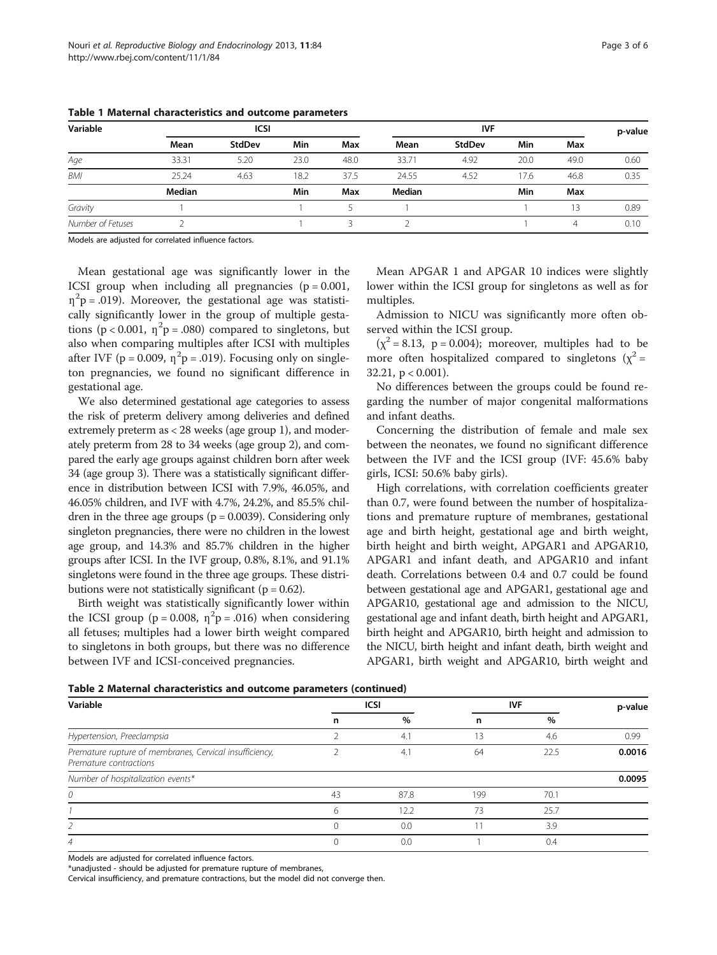| Variable          |        | ICSI          |      |      | <b>IVF</b> |        |      |      | p-value |
|-------------------|--------|---------------|------|------|------------|--------|------|------|---------|
|                   | Mean   | <b>StdDev</b> | Min  | Max  | Mean       | StdDev | Min  | Max  |         |
| Age               | 33.31  | 5.20          | 23.0 | 48.0 | 33.71      | 4.92   | 20.0 | 49.0 | 0.60    |
| BMI               | 25.24  | 4.63          | 18.2 | 37.5 | 24.55      | 4.52   | 17.6 | 46.8 | 0.35    |
|                   | Median |               | Min  | Max  | Median     |        | Min  | Max  |         |
| Gravity           |        |               |      |      |            |        |      | 13   | 0.89    |
| Number of Fetuses |        |               |      |      |            |        |      | 4    | 0.10    |

<span id="page-2-0"></span>Table 1 Maternal characteristics and outcome parameters

Models are adjusted for correlated influence factors.

Mean gestational age was significantly lower in the ICSI group when including all pregnancies  $(p = 0.001,$  $\eta^2$ p = .019). Moreover, the gestational age was statistically significantly lower in the group of multiple gestations ( $p < 0.001$ ,  $\eta^2 p = .080$ ) compared to singletons, but also when comparing multiples after ICSI with multiples after IVF ( $p = 0.009$ ,  $\eta^2 p = .019$ ). Focusing only on singleton pregnancies, we found no significant difference in gestational age.

We also determined gestational age categories to assess the risk of preterm delivery among deliveries and defined extremely preterm as < 28 weeks (age group 1), and moderately preterm from 28 to 34 weeks (age group 2), and compared the early age groups against children born after week 34 (age group 3). There was a statistically significant difference in distribution between ICSI with 7.9%, 46.05%, and 46.05% children, and IVF with 4.7%, 24.2%, and 85.5% children in the three age groups  $(p = 0.0039)$ . Considering only singleton pregnancies, there were no children in the lowest age group, and 14.3% and 85.7% children in the higher groups after ICSI. In the IVF group, 0.8%, 8.1%, and 91.1% singletons were found in the three age groups. These distributions were not statistically significant ( $p = 0.62$ ).

Birth weight was statistically significantly lower within the ICSI group ( $p = 0.008$ ,  $\eta^2 p = .016$ ) when considering all fetuses; multiples had a lower birth weight compared to singletons in both groups, but there was no difference between IVF and ICSI-conceived pregnancies.

Mean APGAR 1 and APGAR 10 indices were slightly lower within the ICSI group for singletons as well as for multiples.

Admission to NICU was significantly more often observed within the ICSI group.

 $(\chi^2 = 8.13, p = 0.004)$ ; moreover, multiples had to be more often hospitalized compared to singletons ( $\chi^2$  = 32.21,  $p < 0.001$ ).

No differences between the groups could be found regarding the number of major congenital malformations and infant deaths.

Concerning the distribution of female and male sex between the neonates, we found no significant difference between the IVF and the ICSI group (IVF: 45.6% baby girls, ICSI: 50.6% baby girls).

High correlations, with correlation coefficients greater than 0.7, were found between the number of hospitalizations and premature rupture of membranes, gestational age and birth height, gestational age and birth weight, birth height and birth weight, APGAR1 and APGAR10, APGAR1 and infant death, and APGAR10 and infant death. Correlations between 0.4 and 0.7 could be found between gestational age and APGAR1, gestational age and APGAR10, gestational age and admission to the NICU, gestational age and infant death, birth height and APGAR1, birth height and APGAR10, birth height and admission to the NICU, birth height and infant death, birth weight and APGAR1, birth weight and APGAR10, birth weight and

| Table 2 Maternal characteristics and outcome parameters (continued) |  |  |  |  |
|---------------------------------------------------------------------|--|--|--|--|
|---------------------------------------------------------------------|--|--|--|--|

| Variable                                                                          |    | <b>ICSI</b> | <b>IVF</b> | p-value |        |
|-----------------------------------------------------------------------------------|----|-------------|------------|---------|--------|
|                                                                                   | n  | %           | n          | $\%$    |        |
| Hypertension, Preeclampsia                                                        |    | 4.1         | 13         | 4.6     | 0.99   |
| Premature rupture of membranes, Cervical insufficiency,<br>Premature contractions |    | 4.1         | 64         | 22.5    | 0.0016 |
| Number of hospitalization events*                                                 |    |             |            |         | 0.0095 |
| 0                                                                                 | 43 | 87.8        | 199        | 70.1    |        |
|                                                                                   | 6  | 12.2        | 73         | 25.7    |        |
|                                                                                   |    | 0.0         |            | 3.9     |        |
| 4                                                                                 |    | 0.0         |            | 0.4     |        |

Models are adjusted for correlated influence factors.

\*unadjusted - should be adjusted for premature rupture of membranes,

Cervical insufficiency, and premature contractions, but the model did not converge then.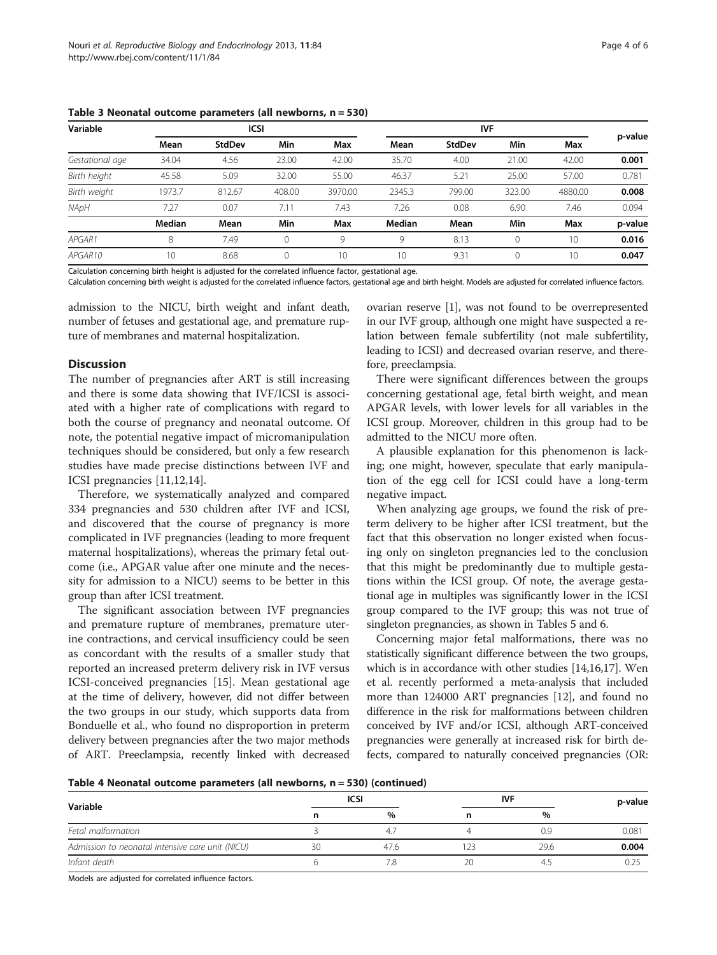| Variable        |        | <b>ICSI</b>   |        |         |        |               |          |         |         |
|-----------------|--------|---------------|--------|---------|--------|---------------|----------|---------|---------|
|                 | Mean   | <b>StdDev</b> | Min    | Max     | Mean   | <b>StdDev</b> | Min      | Max     | p-value |
| Gestational age | 34.04  | 4.56          | 23.00  | 42.00   | 35.70  | 4.00          | 21.00    | 42.00   | 0.001   |
| Birth height    | 45.58  | 5.09          | 32.00  | 55.00   | 46.37  | 5.21          | 25.00    | 57.00   | 0.781   |
| Birth weight    | 1973.7 | 812.67        | 408.00 | 3970.00 | 2345.3 | 799.00        | 323.00   | 4880.00 | 0.008   |
| NApH            | 7.27   | 0.07          | 7.11   | 7.43    | 7.26   | 0.08          | 6.90     | 7.46    | 0.094   |
|                 | Median | Mean          | Min    | Max     | Median | Mean          | Min      | Max     | p-value |
| APGAR1          | 8      | 7.49          | 0      | Q       | 9      | 8.13          | $\Omega$ | 10      | 0.016   |
| APGAR10         | 10     | 8.68          | 0      | 10      | 10     | 9.31          | $\Omega$ | 10      | 0.047   |

<span id="page-3-0"></span>Table 3 Neonatal outcome parameters (all newborns, n = 530)

Calculation concerning birth height is adjusted for the correlated influence factor, gestational age.

Calculation concerning birth weight is adjusted for the correlated influence factors, gestational age and birth height. Models are adjusted for correlated influence factors.

admission to the NICU, birth weight and infant death, number of fetuses and gestational age, and premature rupture of membranes and maternal hospitalization.

# **Discussion**

The number of pregnancies after ART is still increasing and there is some data showing that IVF/ICSI is associated with a higher rate of complications with regard to both the course of pregnancy and neonatal outcome. Of note, the potential negative impact of micromanipulation techniques should be considered, but only a few research studies have made precise distinctions between IVF and ICSI pregnancies [\[11,12,14](#page-5-0)].

Therefore, we systematically analyzed and compared 334 pregnancies and 530 children after IVF and ICSI, and discovered that the course of pregnancy is more complicated in IVF pregnancies (leading to more frequent maternal hospitalizations), whereas the primary fetal outcome (i.e., APGAR value after one minute and the necessity for admission to a NICU) seems to be better in this group than after ICSI treatment.

The significant association between IVF pregnancies and premature rupture of membranes, premature uterine contractions, and cervical insufficiency could be seen as concordant with the results of a smaller study that reported an increased preterm delivery risk in IVF versus ICSI-conceived pregnancies [\[15](#page-5-0)]. Mean gestational age at the time of delivery, however, did not differ between the two groups in our study, which supports data from Bonduelle et al., who found no disproportion in preterm delivery between pregnancies after the two major methods of ART. Preeclampsia, recently linked with decreased

ovarian reserve [\[1\]](#page-5-0), was not found to be overrepresented in our IVF group, although one might have suspected a relation between female subfertility (not male subfertility, leading to ICSI) and decreased ovarian reserve, and therefore, preeclampsia.

There were significant differences between the groups concerning gestational age, fetal birth weight, and mean APGAR levels, with lower levels for all variables in the ICSI group. Moreover, children in this group had to be admitted to the NICU more often.

A plausible explanation for this phenomenon is lacking; one might, however, speculate that early manipulation of the egg cell for ICSI could have a long-term negative impact.

When analyzing age groups, we found the risk of preterm delivery to be higher after ICSI treatment, but the fact that this observation no longer existed when focusing only on singleton pregnancies led to the conclusion that this might be predominantly due to multiple gestations within the ICSI group. Of note, the average gestational age in multiples was significantly lower in the ICSI group compared to the IVF group; this was not true of singleton pregnancies, as shown in Tables [5](#page-4-0) and [6](#page-4-0).

Concerning major fetal malformations, there was no statistically significant difference between the two groups, which is in accordance with other studies [[14,16,17\]](#page-5-0). Wen et al. recently performed a meta-analysis that included more than 124000 ART pregnancies [[12](#page-5-0)], and found no difference in the risk for malformations between children conceived by IVF and/or ICSI, although ART-conceived pregnancies were generally at increased risk for birth defects, compared to naturally conceived pregnancies (OR:

Table 4 Neonatal outcome parameters (all newborns, n = 530) (continued)

|                                                  |    | <b>ICSI</b>    | IVF |      | p-value |  |
|--------------------------------------------------|----|----------------|-----|------|---------|--|
| Variable                                         |    | $\%$           |     | $\%$ |         |  |
| Fetal malformation                               |    | 4 <sup>7</sup> |     | 0.9  | 0.081   |  |
| Admission to neonatal intensive care unit (NICU) | 30 | 47.6           |     | 29.6 | 0.004   |  |
| Infant death                                     |    |                | 20  |      |         |  |

Models are adjusted for correlated influence factors.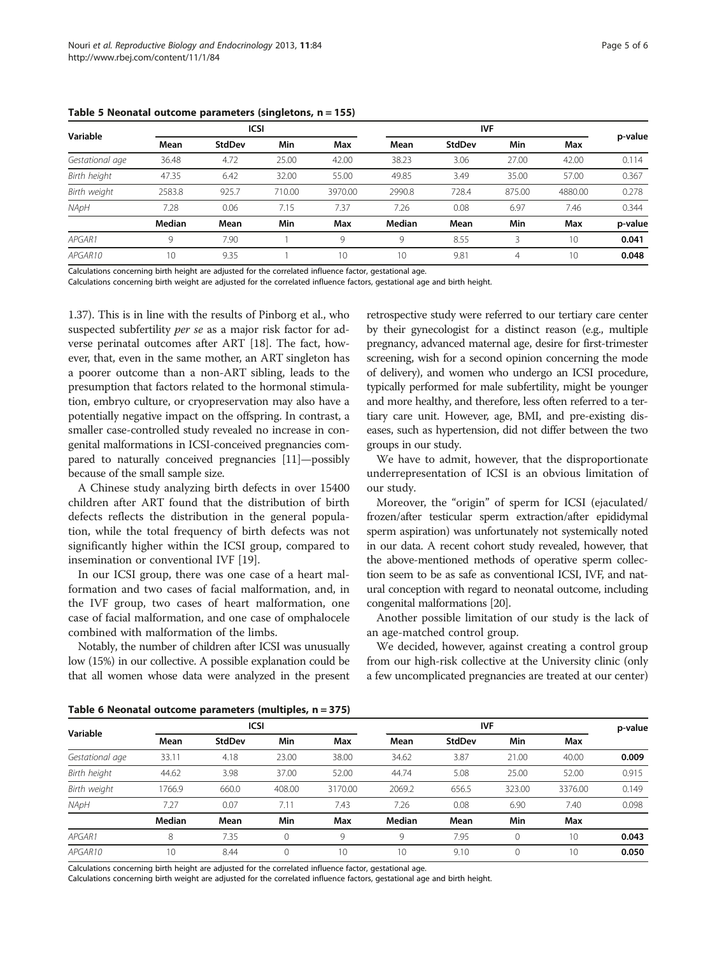| Variable        |        | <b>ICSI</b> |        |         |        |        |        |         |         |
|-----------------|--------|-------------|--------|---------|--------|--------|--------|---------|---------|
|                 | Mean   | StdDev      | Min    | Max     | Mean   | StdDev | Min    | Max     | p-value |
| Gestational age | 36.48  | 4.72        | 25.00  | 42.00   | 38.23  | 3.06   | 27.00  | 42.00   | 0.114   |
| Birth height    | 47.35  | 6.42        | 32.00  | 55.00   | 49.85  | 3.49   | 35.00  | 57.00   | 0.367   |
| Birth weight    | 2583.8 | 925.7       | 710.00 | 3970.00 | 2990.8 | 728.4  | 875.00 | 4880.00 | 0.278   |
| NApH            | 7.28   | 0.06        | 7.15   | 7.37    | 7.26   | 0.08   | 6.97   | 7.46    | 0.344   |
|                 | Median | Mean        | Min    | Max     | Median | Mean   | Min    | Max     | p-value |
| APGAR1          | Q      | 7.90        |        | Q       | 9      | 8.55   | ₹      | 10      | 0.041   |
| APGAR10         | 10     | 9.35        |        | 10      | 10     | 9.81   | 4      | 10      | 0.048   |

<span id="page-4-0"></span>Table 5 Neonatal outcome parameters (singletons, n = 155)

Calculations concerning birth height are adjusted for the correlated influence factor, gestational age.

Calculations concerning birth weight are adjusted for the correlated influence factors, gestational age and birth height.

1.37). This is in line with the results of Pinborg et al., who suspected subfertility per se as a major risk factor for adverse perinatal outcomes after ART [[18](#page-5-0)]. The fact, however, that, even in the same mother, an ART singleton has a poorer outcome than a non-ART sibling, leads to the presumption that factors related to the hormonal stimulation, embryo culture, or cryopreservation may also have a potentially negative impact on the offspring. In contrast, a smaller case-controlled study revealed no increase in congenital malformations in ICSI-conceived pregnancies compared to naturally conceived pregnancies [\[11](#page-5-0)]—possibly because of the small sample size.

A Chinese study analyzing birth defects in over 15400 children after ART found that the distribution of birth defects reflects the distribution in the general population, while the total frequency of birth defects was not significantly higher within the ICSI group, compared to insemination or conventional IVF [[19\]](#page-5-0).

In our ICSI group, there was one case of a heart malformation and two cases of facial malformation, and, in the IVF group, two cases of heart malformation, one case of facial malformation, and one case of omphalocele combined with malformation of the limbs.

Notably, the number of children after ICSI was unusually low (15%) in our collective. A possible explanation could be that all women whose data were analyzed in the present retrospective study were referred to our tertiary care center by their gynecologist for a distinct reason (e.g., multiple pregnancy, advanced maternal age, desire for first-trimester screening, wish for a second opinion concerning the mode of delivery), and women who undergo an ICSI procedure, typically performed for male subfertility, might be younger and more healthy, and therefore, less often referred to a tertiary care unit. However, age, BMI, and pre-existing diseases, such as hypertension, did not differ between the two groups in our study.

We have to admit, however, that the disproportionate underrepresentation of ICSI is an obvious limitation of our study.

Moreover, the "origin" of sperm for ICSI (ejaculated/ frozen/after testicular sperm extraction/after epididymal sperm aspiration) was unfortunately not systemically noted in our data. A recent cohort study revealed, however, that the above-mentioned methods of operative sperm collection seem to be as safe as conventional ICSI, IVF, and natural conception with regard to neonatal outcome, including congenital malformations [\[20\]](#page-5-0).

Another possible limitation of our study is the lack of an age-matched control group.

We decided, however, against creating a control group from our high-risk collective at the University clinic (only a few uncomplicated pregnancies are treated at our center)

Table 6 Neonatal outcome parameters (multiples, n = 375)

| Variable        |        | <b>ICSI</b> |              |         | <b>IVF</b> |        |        | p-value |       |
|-----------------|--------|-------------|--------------|---------|------------|--------|--------|---------|-------|
|                 | Mean   | StdDev      | Min          | Max     | Mean       | StdDev | Min    | Max     |       |
| Gestational age | 33.11  | 4.18        | 23.00        | 38.00   | 34.62      | 3.87   | 21.00  | 40.00   | 0.009 |
| Birth height    | 44.62  | 3.98        | 37.00        | 52.00   | 44.74      | 5.08   | 25.00  | 52.00   | 0.915 |
| Birth weight    | 1766.9 | 660.0       | 408.00       | 3170.00 | 2069.2     | 656.5  | 323.00 | 3376.00 | 0.149 |
| NApH            | 7.27   | 0.07        | 7.11         | 7.43    | 7.26       | 0.08   | 6.90   | 7.40    | 0.098 |
|                 | Median | Mean        | Min          | Max     | Median     | Mean   | Min    | Max     |       |
| APGAR1          | 8      | 7.35        | $\mathbf{0}$ | 9       | 9          | 7.95   | 0      | 10      | 0.043 |
| APGAR10         | 10     | 8.44        | $\mathbf{0}$ | 10      | 10         | 9.10   | 0      | 10      | 0.050 |

Calculations concerning birth height are adjusted for the correlated influence factor, gestational age.

Calculations concerning birth weight are adjusted for the correlated influence factors, gestational age and birth height.